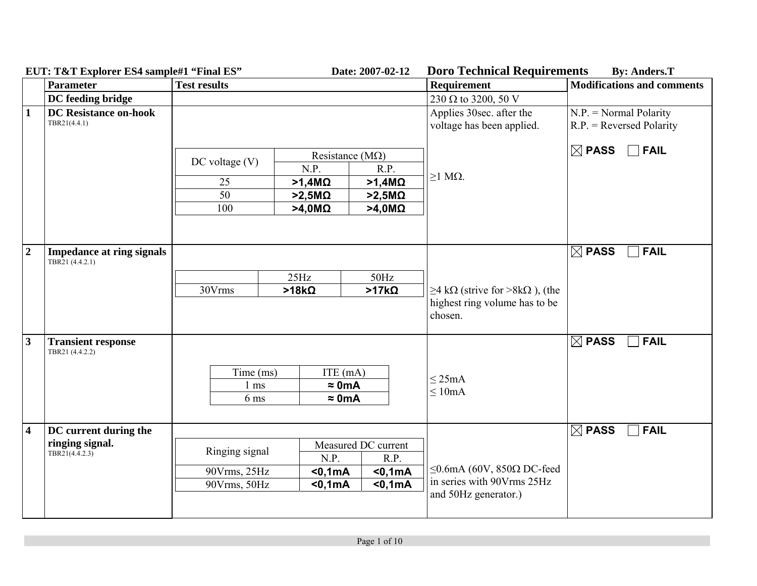|                         | пот, техт парклет по тващиет типа по<br><b>Parameter</b> | <b>Test results</b>                            |               |                                            |                     | рого тесникан тедин сикик<br>Requirement              | <b>Modifications and comments</b>                      |
|-------------------------|----------------------------------------------------------|------------------------------------------------|---------------|--------------------------------------------|---------------------|-------------------------------------------------------|--------------------------------------------------------|
|                         | DC feeding bridge                                        |                                                |               |                                            |                     | 230 $\Omega$ to 3200, 50 V                            |                                                        |
| $\vert$ 1               | <b>DC Resistance on-hook</b><br>TBR21(4.4.1)             |                                                |               |                                            |                     | Applies 30sec. after the<br>voltage has been applied. | $N.P.$ = Normal Polarity<br>$R.P.$ = Reversed Polarity |
|                         |                                                          | $DC$ voltage $(V)$                             | N.P.          | Resistance ( $M\Omega$ )                   | R.P.                | $\geq$ 1 M $\Omega$ .                                 | $\boxed{\boxtimes}$ PASS $\boxed{\phantom{0}}$ FAIL    |
|                         |                                                          | 25                                             | $>1,4M\Omega$ |                                            | $>1,4M\Omega$       |                                                       |                                                        |
|                         |                                                          | 50                                             | $>2,5M\Omega$ |                                            | $>2,5M\Omega$       |                                                       |                                                        |
|                         |                                                          | 100                                            | $>4,0M\Omega$ |                                            | $>4,0M\Omega$       |                                                       |                                                        |
| $\overline{2}$          | <b>Impedance at ring signals</b><br>TBR21 (4.4.2.1)      |                                                |               |                                            |                     |                                                       | $\boxtimes$ PASS<br>$\overline{\phantom{a}}$ FAIL      |
|                         |                                                          |                                                | 25Hz          |                                            | $50\text{Hz}$       |                                                       |                                                        |
|                         |                                                          | 30Vrms                                         | $>18k\Omega$  |                                            | $>17k\Omega$        | $\geq$ 4 kΩ (strive for >8kΩ), (the                   |                                                        |
|                         |                                                          |                                                |               |                                            |                     | highest ring volume has to be<br>chosen.              |                                                        |
| $\mathbf{3}$            | <b>Transient response</b><br>TBR21 (4.4.2.2)             | Time (ms)<br>$1 \text{ ms}$<br>6 <sub>ms</sub> |               | ITE (mA)<br>$\approx$ 0mA<br>$\approx$ 0mA |                     | $\leq$ 25mA<br>$\leq 10$ mA                           | $\boxtimes$ PASS<br>$\overline{\phantom{a}}$ FAIL      |
|                         |                                                          |                                                |               |                                            |                     |                                                       |                                                        |
| $\overline{\mathbf{4}}$ | DC current during the                                    |                                                |               |                                            |                     | $ $ FAIL<br>$\boxtimes$ PASS                          |                                                        |
|                         | ringing signal.<br>TBR21(4.4.2.3)                        | Ringing signal                                 |               |                                            | Measured DC current |                                                       |                                                        |
|                         |                                                          |                                                |               | N.P.                                       | R.P.                |                                                       |                                                        |
|                         |                                                          | 90Vrms, 25Hz                                   |               | $0,1mA$                                    | $0,1mA$             | $\leq$ 0.6mA (60V, 850 $\Omega$ DC-feed               |                                                        |
|                         |                                                          | 90Vrms, 50Hz                                   |               | $0,1mA$                                    | $0,1mA$             | in series with 90Vrms 25Hz<br>and 50Hz generator.)    |                                                        |
|                         |                                                          |                                                |               |                                            |                     |                                                       |                                                        |

**EUT: T&T Explorer ES4 sample#1 "Final ES" Date: 2007-02-12 Doro Technical Requirements By: Anders.T**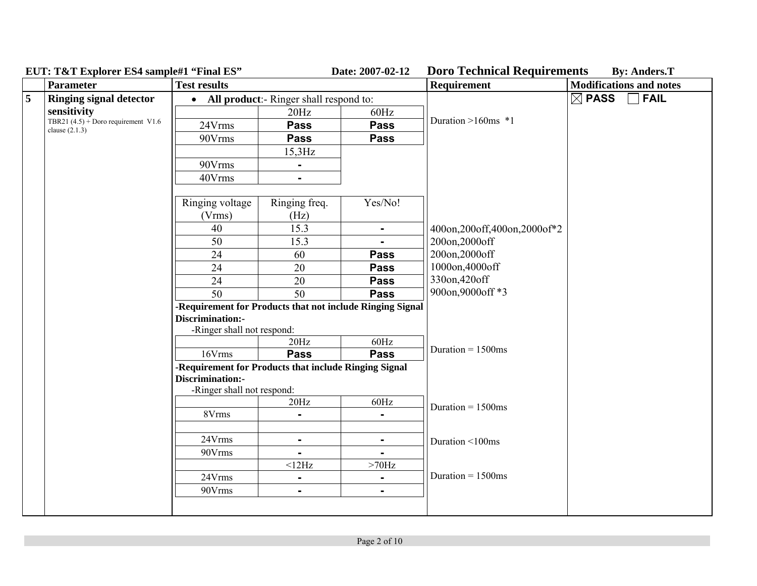| Parameter                      | <b>Test results</b>                                       |                                                                               |                                                                                               | Requirement                                                                                                            | <b>Modifications and notes</b>                                                                                                                                                                            |
|--------------------------------|-----------------------------------------------------------|-------------------------------------------------------------------------------|-----------------------------------------------------------------------------------------------|------------------------------------------------------------------------------------------------------------------------|-----------------------------------------------------------------------------------------------------------------------------------------------------------------------------------------------------------|
| <b>Ringing signal detector</b> |                                                           |                                                                               |                                                                                               |                                                                                                                        | $\boxtimes$ PASS<br>$\sqcap$ FAIL                                                                                                                                                                         |
| sensitivity                    |                                                           | 20Hz                                                                          | 60Hz                                                                                          |                                                                                                                        |                                                                                                                                                                                                           |
|                                | 24Vrms                                                    | <b>Pass</b>                                                                   | <b>Pass</b>                                                                                   |                                                                                                                        |                                                                                                                                                                                                           |
|                                | 90Vrms                                                    | <b>Pass</b>                                                                   | <b>Pass</b>                                                                                   |                                                                                                                        |                                                                                                                                                                                                           |
|                                |                                                           | $15,3$ Hz                                                                     |                                                                                               |                                                                                                                        |                                                                                                                                                                                                           |
|                                | 90Vrms                                                    | $\blacksquare$                                                                |                                                                                               |                                                                                                                        |                                                                                                                                                                                                           |
|                                | 40Vrms                                                    | $\blacksquare$                                                                |                                                                                               |                                                                                                                        |                                                                                                                                                                                                           |
|                                |                                                           |                                                                               |                                                                                               |                                                                                                                        |                                                                                                                                                                                                           |
|                                | Ringing voltage                                           | Ringing freq.                                                                 | Yes/No!                                                                                       |                                                                                                                        |                                                                                                                                                                                                           |
|                                | (Vrms)                                                    | (Hz)                                                                          |                                                                                               |                                                                                                                        |                                                                                                                                                                                                           |
|                                |                                                           |                                                                               | $\blacksquare$                                                                                | 400on, 200off, 400on, 2000of*2                                                                                         |                                                                                                                                                                                                           |
|                                |                                                           | 15.3                                                                          | $\blacksquare$                                                                                | 200on,2000off                                                                                                          |                                                                                                                                                                                                           |
|                                | 24                                                        | 60                                                                            | <b>Pass</b>                                                                                   |                                                                                                                        |                                                                                                                                                                                                           |
|                                | 24                                                        | 20                                                                            | <b>Pass</b>                                                                                   |                                                                                                                        |                                                                                                                                                                                                           |
|                                | 24                                                        | 20                                                                            | <b>Pass</b>                                                                                   |                                                                                                                        |                                                                                                                                                                                                           |
|                                |                                                           |                                                                               | <b>Pass</b>                                                                                   |                                                                                                                        |                                                                                                                                                                                                           |
|                                |                                                           |                                                                               |                                                                                               |                                                                                                                        |                                                                                                                                                                                                           |
|                                |                                                           |                                                                               |                                                                                               |                                                                                                                        |                                                                                                                                                                                                           |
|                                |                                                           |                                                                               |                                                                                               |                                                                                                                        |                                                                                                                                                                                                           |
|                                |                                                           |                                                                               |                                                                                               | Duration = $1500$ ms                                                                                                   |                                                                                                                                                                                                           |
|                                |                                                           |                                                                               |                                                                                               |                                                                                                                        |                                                                                                                                                                                                           |
|                                |                                                           |                                                                               |                                                                                               |                                                                                                                        |                                                                                                                                                                                                           |
|                                |                                                           |                                                                               |                                                                                               |                                                                                                                        |                                                                                                                                                                                                           |
|                                |                                                           | 20Hz                                                                          | 60Hz                                                                                          |                                                                                                                        |                                                                                                                                                                                                           |
|                                | 8Vrms                                                     |                                                                               | $\blacksquare$                                                                                |                                                                                                                        |                                                                                                                                                                                                           |
|                                |                                                           |                                                                               |                                                                                               |                                                                                                                        |                                                                                                                                                                                                           |
|                                | 24Vrms                                                    | $\blacksquare$                                                                | Ξ.                                                                                            | Duration <100ms                                                                                                        |                                                                                                                                                                                                           |
|                                | 90Vrms                                                    |                                                                               |                                                                                               |                                                                                                                        |                                                                                                                                                                                                           |
|                                |                                                           | <12Hz                                                                         | $>70\mathrm{Hz}$                                                                              |                                                                                                                        |                                                                                                                                                                                                           |
|                                | 24Vrms                                                    | $\blacksquare$                                                                | ۰                                                                                             |                                                                                                                        |                                                                                                                                                                                                           |
|                                | 90Vrms                                                    | $\blacksquare$                                                                | $\blacksquare$                                                                                |                                                                                                                        |                                                                                                                                                                                                           |
|                                |                                                           |                                                                               |                                                                                               |                                                                                                                        |                                                                                                                                                                                                           |
|                                | TBR21 $(4.5)$ + Doro requirement V1.6<br>clause $(2.1.3)$ | 40<br>50<br>$\overline{50}$<br>Discrimination:-<br>16Vrms<br>Discrimination:- | 15.3<br>50<br>-Ringer shall not respond:<br>20Hz<br><b>Pass</b><br>-Ringer shall not respond: | All product:- Ringer shall respond to:<br>60Hz<br><b>Pass</b><br>-Requirement for Products that include Ringing Signal | Duration $>160$ ms *1<br>200on,2000off<br>1000on,4000off<br>330on, 420off<br>900on,9000off *3<br>-Requirement for Products that not include Ringing Signal<br>Duration = $1500$ ms<br>Duration = $1500ms$ |

**EUT: T&T Explorer ES4 sample#1 "Final ES" Date: 2007-02-12 Doro Technical Requirements By: Anders.T**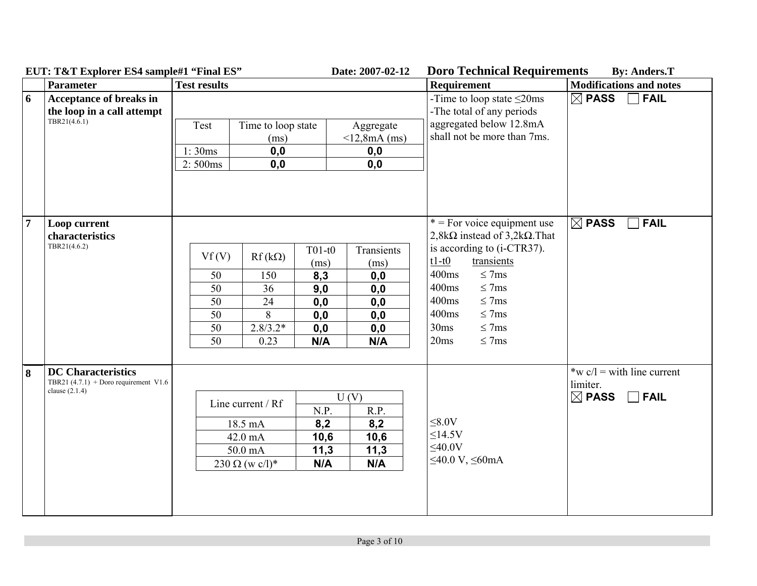|                | EUT: T&T Explorer ES4 sample#1 "Final ES"                                                |                                                                                                          | Date: 2007-02-12                                                                                                             | <b>Doro Technical Requirements</b>                                                                                                                                                                                                                                          | <b>By: Anders.T</b>                                                         |
|----------------|------------------------------------------------------------------------------------------|----------------------------------------------------------------------------------------------------------|------------------------------------------------------------------------------------------------------------------------------|-----------------------------------------------------------------------------------------------------------------------------------------------------------------------------------------------------------------------------------------------------------------------------|-----------------------------------------------------------------------------|
|                | <b>Parameter</b>                                                                         | <b>Test results</b>                                                                                      |                                                                                                                              | <b>Requirement</b>                                                                                                                                                                                                                                                          | <b>Modifications and notes</b>                                              |
| 6              | Acceptance of breaks in<br>the loop in a call attempt<br>TBR21(4.6.1)                    | Test<br>Time to loop state<br>(ms)<br>1:30ms<br>0,0<br>0, 0<br>2:500ms                                   | Aggregate<br>$<$ 12,8mA (ms)<br>0, 0<br>0,0                                                                                  | -Time to loop state $\leq$ 20ms<br>-The total of any periods<br>aggregated below 12.8mA<br>shall not be more than 7ms.                                                                                                                                                      | $\Box$ FAIL<br>$\boxtimes$ PASS                                             |
| $\overline{7}$ | Loop current<br>characteristics<br>TBR21(4.6.2)                                          | Vf(V)<br>$Rf(k\Omega)$<br>50<br>150<br>50<br>36<br>50<br>24<br>50<br>8<br>50<br>$2.8/3.2*$<br>50<br>0.23 | $T01-t0$<br>Transients<br>(ms)<br>(ms)<br>8,3<br>0,0<br>9,0<br>0,0<br>0, 0<br>0, 0<br>0,0<br>0,0<br>0,0<br>0,0<br>N/A<br>N/A | $*$ = For voice equipment use<br>$2,8k\Omega$ instead of $3,2k\Omega$ . That<br>is according to (i-CTR37).<br>$t1-t0$<br>transients<br>400ms<br>$\leq$ 7ms<br>400ms<br>$\leq$ 7ms<br>400ms<br>$\leq$ 7ms<br>400ms<br>$\leq$ 7ms<br>$\leq$ 7ms<br>30ms<br>20ms<br>$\leq$ 7ms | $\boxtimes$ PASS<br>$ $ FAIL                                                |
| 8              | <b>DC</b> Characteristics<br>TBR21 $(4.7.1)$ + Doro requirement V1.6<br>clause $(2.1.4)$ | Line current / Rf<br>18.5 mA<br>42.0 mA<br>50.0 mA<br>$230 \Omega (w c/l)^*$                             | U(V)<br>N.P.<br>R.P.<br>8,2<br>8,2<br>10,6<br>10,6<br>11,3<br>11,3<br>N/A<br>N/A                                             | $\leq 8.0V$<br>$\leq$ 14.5V<br>$\leq 40.0V$<br>$\leq$ 40.0 V, $\leq$ 60mA                                                                                                                                                                                                   | *w $c/l$ = with line current<br>limiter.<br>$\boxtimes$ PASS<br>$\Box$ FAIL |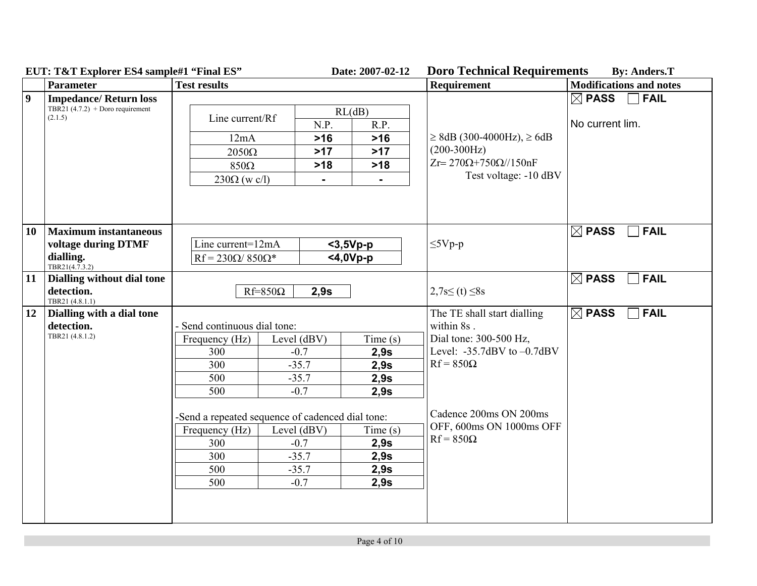|                  | $E \cup I$ , $I \cup I$ Explorer $E \cup I$ Sample $\pi I$ Final $E \cup I$ |                                                  |                | Dait. 2007-02-12 | D'ut i ecumical inequitements                          | Dy. Anuel S.1                   |  |
|------------------|-----------------------------------------------------------------------------|--------------------------------------------------|----------------|------------------|--------------------------------------------------------|---------------------------------|--|
|                  | <b>Parameter</b>                                                            | <b>Test results</b>                              |                |                  | <b>Requirement</b>                                     | <b>Modifications and notes</b>  |  |
| $\boldsymbol{9}$ | <b>Impedance/Return loss</b>                                                |                                                  |                |                  | $\boxtimes$ PASS $^-$<br><b>FAIL</b><br>$\blacksquare$ |                                 |  |
|                  | TBR21 (4.7.2) + Doro requirement<br>(2.1.5)                                 |                                                  |                | RL(dB)           |                                                        |                                 |  |
|                  |                                                                             | Line current/Rf                                  | N.P.           | R.P.             |                                                        | No current lim.                 |  |
|                  |                                                                             | 12mA                                             | $>16$          | $>16$            | $\geq$ 8dB (300-4000Hz), $\geq$ 6dB                    |                                 |  |
|                  |                                                                             | $2050\Omega$                                     | $>17$          | $>17$            | $(200-300Hz)$                                          |                                 |  |
|                  |                                                                             | $850\Omega$                                      | $>18$          | $>18$            | $Zr = 270\Omega + 750\Omega/150nF$                     |                                 |  |
|                  |                                                                             | $230\Omega$ (w c/l)                              | $\blacksquare$ | $\blacksquare$   | Test voltage: -10 dBV                                  |                                 |  |
|                  |                                                                             |                                                  |                |                  |                                                        |                                 |  |
|                  |                                                                             |                                                  |                |                  |                                                        |                                 |  |
|                  |                                                                             |                                                  |                |                  |                                                        |                                 |  |
| 10               | <b>Maximum instantaneous</b>                                                |                                                  |                |                  |                                                        | $\boxtimes$ PASS<br><b>FAIL</b> |  |
|                  | voltage during DTMF                                                         | Line current=12mA                                |                | $3,5Vp-p$        | $\leq$ 5Vp-p                                           |                                 |  |
|                  | dialling.                                                                   | $Rf = 230\Omega/850\Omega^*$                     |                | $<$ 4,0Vp-p      |                                                        |                                 |  |
|                  | TBR21(4.7.3.2)                                                              |                                                  |                |                  |                                                        |                                 |  |
| 11               | Dialling without dial tone                                                  | $Rf=850\Omega$<br>2,9s                           |                |                  |                                                        | $\boxtimes$ PASS<br><b>FAIL</b> |  |
|                  | detection.                                                                  |                                                  |                |                  | $2,7s \leq (t) \leq 8s$                                |                                 |  |
| 12               | TBR21 (4.8.1.1)<br>Dialling with a dial tone                                |                                                  |                |                  | The TE shall start dialling                            | $\boxtimes$ PASS<br><b>FAIL</b> |  |
|                  | detection.                                                                  | - Send continuous dial tone:                     |                |                  | within 8s.                                             |                                 |  |
|                  | TBR21 (4.8.1.2)                                                             | Frequency (Hz)                                   | Level (dBV)    | Time(s)          | Dial tone: 300-500 Hz,                                 |                                 |  |
|                  |                                                                             | 300                                              | $-0.7$         | 2,9s             | Level: $-35.7$ dBV to $-0.7$ dBV                       |                                 |  |
|                  |                                                                             | 300                                              | $-35.7$        | 2,9s             | $Rf = 850\Omega$                                       |                                 |  |
|                  |                                                                             | 500                                              | $-35.7$        | 2,9s             |                                                        |                                 |  |
|                  |                                                                             | 500                                              | $-0.7$         | 2,9s             |                                                        |                                 |  |
|                  |                                                                             |                                                  |                |                  |                                                        |                                 |  |
|                  |                                                                             | -Send a repeated sequence of cadenced dial tone: |                |                  | Cadence 200ms ON 200ms                                 |                                 |  |
|                  |                                                                             | Frequency (Hz)                                   | Level (dBV)    | Time(s)          | OFF, 600ms ON 1000ms OFF                               |                                 |  |
|                  |                                                                             | 300                                              | $-0.7$         | 2,9s             | $Rf = 850\Omega$                                       |                                 |  |
|                  |                                                                             | 300                                              | $-35.7$        | 2,9s             |                                                        |                                 |  |
|                  |                                                                             | 500                                              | $-35.7$        | 2,9s             |                                                        |                                 |  |
|                  |                                                                             | 500                                              | $-0.7$         | 2,9s             |                                                        |                                 |  |
|                  |                                                                             |                                                  |                |                  |                                                        |                                 |  |
|                  |                                                                             |                                                  |                |                  |                                                        |                                 |  |
|                  |                                                                             |                                                  |                |                  |                                                        |                                 |  |

**EUT: T&T Explorer ES4 sample#1 "Final ES" Date: 2007-02-12 Doro Technical Requirements By: Anders.T**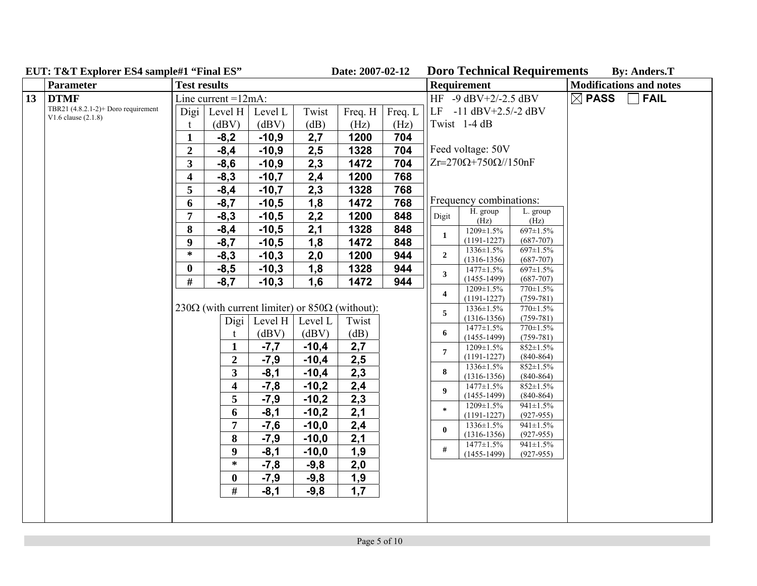|    | $EUI: IXI$ Explorer ES4 sample $I$ "Final ES                   | <b>Date: 2007-02-12</b> |                                                                |                 |         |         |         |                         |                                   | DOLO TECHNICAL REQUILEMENTS    |                  | <b>By: Anders.1</b>            |
|----|----------------------------------------------------------------|-------------------------|----------------------------------------------------------------|-----------------|---------|---------|---------|-------------------------|-----------------------------------|--------------------------------|------------------|--------------------------------|
|    | <b>Parameter</b>                                               | <b>Test results</b>     |                                                                |                 |         |         |         |                         | <b>Requirement</b>                |                                |                  | <b>Modifications and notes</b> |
| 13 | <b>DTMF</b>                                                    |                         | Line current $=12mA$ :                                         |                 |         |         |         |                         | $HF -9 dBV +2/-2.5 dBV$           |                                | $\boxtimes$ PASS | <b>FAIL</b>                    |
|    | TBR21 (4.8.2.1-2)+ Doro requirement<br>$V1.6$ clause $(2.1.8)$ | Digi                    | Level H                                                        | Level L         | Twist   | Freq. H | Freq. L |                         | $LE$ -11 dBV+2.5/-2 dBV           |                                |                  |                                |
|    |                                                                | t                       | (dBV)                                                          | (dBV)           | (dB)    | (Hz)    | (Hz)    |                         | Twist 1-4 dB                      |                                |                  |                                |
|    |                                                                | $\mathbf{1}$            | $-8,2$                                                         | $-10,9$         | 2,7     | 1200    | 704     |                         |                                   |                                |                  |                                |
|    |                                                                | $\overline{2}$          | $-8,4$                                                         | $-10,9$         | 2,5     | 1328    | 704     |                         | Feed voltage: 50V                 |                                |                  |                                |
|    |                                                                | $\overline{\mathbf{3}}$ | $-8,6$                                                         | $-10,9$         | 2,3     | 1472    | 704     |                         | $Zr=270\Omega+750\Omega/150nF$    |                                |                  |                                |
|    |                                                                | $\overline{\mathbf{4}}$ | $-8,3$                                                         | $-10,7$         | 2,4     | 1200    | 768     |                         |                                   |                                |                  |                                |
|    |                                                                | 5                       | $-8,4$                                                         | $-10,7$         | 2,3     | 1328    | 768     |                         |                                   |                                |                  |                                |
|    |                                                                | 6                       | $-8,7$                                                         | $-10,5$         | 1,8     | 1472    | 768     |                         | Frequency combinations:           |                                |                  |                                |
|    |                                                                | $\overline{7}$          | $-8,3$                                                         | $-10,5$         | 2,2     | 1200    | 848     | Digit                   | H. group<br>(Hz)                  | L. group<br>(Hz)               |                  |                                |
|    |                                                                | 8                       | $-8,4$                                                         | $-10,5$         | 2,1     | 1328    | 848     |                         | 1209±1.5%                         | 697±1.5%                       |                  |                                |
|    |                                                                | 9                       | $-8,7$                                                         | $-10,5$         | 1,8     | 1472    | 848     | $\mathbf{1}$            | $(1191-1227)$                     | $(687 - 707)$                  |                  |                                |
|    |                                                                | $\ast$                  | $-8,3$                                                         | $-10,3$         | 2,0     | 1200    | 944     | $\overline{2}$          | 1336±1.5%<br>$(1316-1356)$        | 697±1.5%<br>$(687 - 707)$      |                  |                                |
|    |                                                                | $\bf{0}$                | $-8,5$                                                         | $-10,3$         | 1,8     | 1328    | 944     |                         | $1477 \pm 1.5\%$                  | 697±1.5%                       |                  |                                |
|    |                                                                | #                       | $-8,7$                                                         | $-10,3$         | 1,6     | 1472    | 944     | 3                       | $(1455-1499)$                     | $(687 - 707)$                  |                  |                                |
|    |                                                                |                         |                                                                |                 |         |         |         | $\overline{\mathbf{4}}$ | 1209±1.5%<br>$(1191-1227)$        | 770±1.5%<br>$(759-781)$        |                  |                                |
|    |                                                                |                         | 230 $\Omega$ (with current limiter) or 850 $\Omega$ (without): |                 |         |         |         | 5                       | 1336±1.5%                         | $770 \pm 1.5\%$                |                  |                                |
|    |                                                                |                         | Digi                                                           | Level H $\vert$ | Level L | Twist   |         |                         | $(1316 - 1356)$                   | $(759 - 781)$                  |                  |                                |
|    |                                                                |                         |                                                                | (dBV)           | (dBV)   | (dB)    |         | 6                       | $1477 \pm 1.5\%$<br>$(1455-1499)$ | 770±1.5%<br>$(759 - 781)$      |                  |                                |
|    |                                                                |                         | $\mathbf{1}$                                                   | $-7,7$          | $-10,4$ | 2,7     |         | $\overline{7}$          | 1209±1.5%                         | 852±1.5%                       |                  |                                |
|    |                                                                |                         | $\overline{2}$                                                 | $-7,9$          | $-10,4$ | 2,5     |         |                         | $(1191 - 1227)$                   | $(840-864)$                    |                  |                                |
|    |                                                                |                         | $\overline{\mathbf{3}}$                                        | $-8,1$          | $-10,4$ | 2,3     |         | 8                       | 1336±1.5%<br>$(1316-1356)$        | 852±1.5%<br>$(840 - 864)$      |                  |                                |
|    |                                                                |                         | $\overline{\mathbf{4}}$                                        | $-7,8$          | $-10,2$ | 2,4     |         | 9                       | $1477 \pm 1.5\%$                  | $852 \pm 1.5\%$                |                  |                                |
|    |                                                                |                         | $\overline{5}$                                                 | $-7,9$          | $-10,2$ | 2,3     |         |                         | $(1455 - 1499)$                   | $(840-864)$                    |                  |                                |
|    |                                                                |                         | 6                                                              | $-8,1$          | $-10,2$ | 2,1     |         | $\ast$                  | 1209±1.5%<br>$(1191 - 1227)$      | $941 \pm 1.5\%$<br>$(927-955)$ |                  |                                |
|    |                                                                |                         | 7                                                              | $-7,6$          | $-10,0$ | 2,4     |         | $\mathbf{0}$            | 1336±1.5%                         | $941 \pm 1.5\%$                |                  |                                |
|    |                                                                |                         | 8                                                              | $-7,9$          | $-10,0$ | 2,1     |         |                         | $(1316-1356)$<br>$1477 \pm 1.5\%$ | $(927-955)$                    |                  |                                |
|    |                                                                |                         | $\boldsymbol{9}$                                               | $-8,1$          | $-10,0$ | 1,9     |         | #                       | $(1455-1499)$                     | $941 \pm 1.5\%$<br>$(927-955)$ |                  |                                |
|    |                                                                |                         | $\ast$                                                         | $-7,8$          | $-9,8$  | 2,0     |         |                         |                                   |                                |                  |                                |
|    |                                                                |                         | $\boldsymbol{0}$                                               | $-7,9$          | $-9,8$  | 1,9     |         |                         |                                   |                                |                  |                                |
|    |                                                                |                         | $\#$                                                           | $-8,1$          | $-9,8$  | 1,7     |         |                         |                                   |                                |                  |                                |
|    |                                                                |                         |                                                                |                 |         |         |         |                         |                                   |                                |                  |                                |
|    |                                                                |                         |                                                                |                 |         |         |         |                         |                                   |                                |                  |                                |

# **EUT: T&T Explorer ES4 sample#1 "Final ES" Date: 2007-02-12 Doro Technical Requirements By: Anders.T**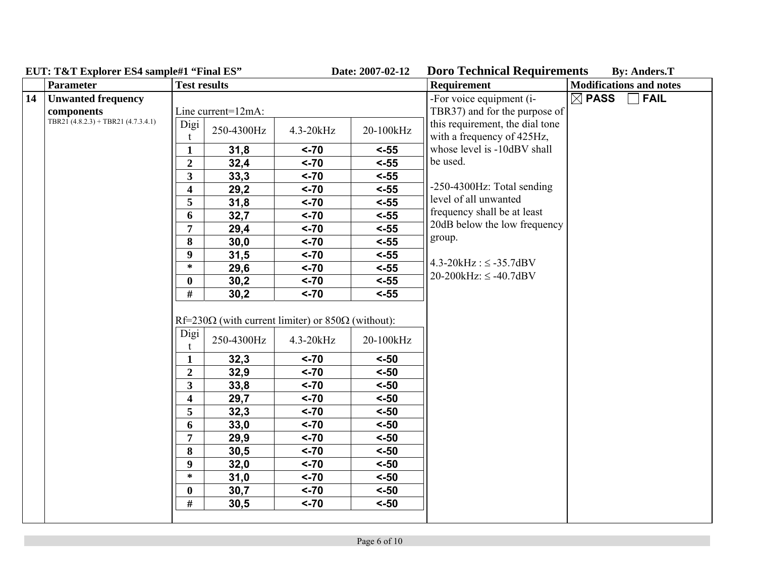|    | $E \cup I$ , $I \cup I$ $E \cup I$ $U \cup I$ $U \cup I$ $V$ $I \cup I$ $I \cup I$ $I \cup I$ $I \cup I$<br>Parameter | <b>Test results</b>     |                    |                                                                  | <i>Daw. 4</i> 007-04-14 | Doro Technical Requirements<br>Requirement                    | $\mathbf{D}$ y. Anucro. $\mathbf{I}$<br><b>Modifications and notes</b> |
|----|-----------------------------------------------------------------------------------------------------------------------|-------------------------|--------------------|------------------------------------------------------------------|-------------------------|---------------------------------------------------------------|------------------------------------------------------------------------|
| 14 | <b>Unwanted frequency</b>                                                                                             |                         |                    |                                                                  |                         | -For voice equipment (i-                                      | $\boxtimes$ PASS<br>$ $ FAIL                                           |
|    | components                                                                                                            |                         | Line current=12mA: |                                                                  |                         | TBR37) and for the purpose of                                 |                                                                        |
|    | TBR21 $(4.8.2.3)$ + TBR21 $(4.7.3.4.1)$                                                                               | Digi                    | 250-4300Hz         | 4.3-20kHz                                                        | 20-100kHz               | this requirement, the dial tone<br>with a frequency of 425Hz, |                                                                        |
|    |                                                                                                                       | $\mathbf{1}$            | 31,8               | $< -70$                                                          | $< -55$                 | whose level is -10dBV shall                                   |                                                                        |
|    |                                                                                                                       | $\boldsymbol{2}$        | 32,4               | $< -70$                                                          | $< -55$                 | be used.                                                      |                                                                        |
|    |                                                                                                                       | $\overline{\mathbf{3}}$ | 33,3               | $< -70$                                                          | $< -55$                 |                                                               |                                                                        |
|    |                                                                                                                       | $\overline{\mathbf{4}}$ | 29,2               | $< -70$                                                          | $< -55$                 | $-250-4300$ Hz: Total sending                                 |                                                                        |
|    |                                                                                                                       | 5                       | 31,8               | $< -70$                                                          | $< -55$                 | level of all unwanted                                         |                                                                        |
|    |                                                                                                                       | 6                       | 32,7               | $< -70$                                                          | $< -55$                 | frequency shall be at least                                   |                                                                        |
|    |                                                                                                                       | $\overline{7}$          | 29,4               | $< -70$                                                          | $< -55$                 | 20dB below the low frequency                                  |                                                                        |
|    |                                                                                                                       | 8                       | 30,0               | $< -70$                                                          | $< -55$                 | group.                                                        |                                                                        |
|    |                                                                                                                       | $\boldsymbol{9}$        | 31,5               | $< -70$                                                          | $< -55$                 |                                                               |                                                                        |
|    |                                                                                                                       | $\ast$                  | 29,6               | $< -70$                                                          | $< -55$                 | $4.3 - 20kHz$ : $\leq -35.7dBV$                               |                                                                        |
|    |                                                                                                                       | $\bf{0}$                | 30,2               | $< -70$                                                          | $< -55$                 | $20-200kHz$ : $\leq -40.7dBV$                                 |                                                                        |
|    |                                                                                                                       | $\#$                    | 30,2               | $< -70$                                                          | $< -55$                 |                                                               |                                                                        |
|    |                                                                                                                       |                         |                    | $Rf=230\Omega$ (with current limiter) or 850 $\Omega$ (without): |                         |                                                               |                                                                        |
|    |                                                                                                                       | Digi                    | 250-4300Hz         | 4.3-20kHz                                                        | 20-100kHz               |                                                               |                                                                        |
|    |                                                                                                                       | $\mathbf{1}$            | 32,3               | $< -70$                                                          | $< -50$                 |                                                               |                                                                        |
|    |                                                                                                                       | $\boldsymbol{2}$        | 32,9               | $< -70$                                                          | $< -50$                 |                                                               |                                                                        |
|    |                                                                                                                       | $\overline{\mathbf{3}}$ | 33,8               | $< -70$                                                          | $< -50$                 |                                                               |                                                                        |
|    |                                                                                                                       | $\overline{\mathbf{4}}$ | 29,7               | $< -70$                                                          | $< -50$                 |                                                               |                                                                        |
|    |                                                                                                                       | $\overline{5}$          | 32,3               | $< -70$                                                          | $< -50$                 |                                                               |                                                                        |
|    |                                                                                                                       | 6                       | 33,0               | $< -70$                                                          | $< -50$                 |                                                               |                                                                        |
|    |                                                                                                                       | $\overline{7}$          | 29,9               | $< -70$                                                          | $< -50$                 |                                                               |                                                                        |
|    |                                                                                                                       | 8                       | 30,5               | $< -70$                                                          | $< -50$                 |                                                               |                                                                        |
|    |                                                                                                                       | 9                       | 32,0               | $< -70$                                                          | $< -50$                 |                                                               |                                                                        |
|    |                                                                                                                       | $\ast$                  | 31,0               | $< -70$                                                          | $< -50$                 |                                                               |                                                                        |
|    |                                                                                                                       | $\bf{0}$                | 30,7               | $< -70$                                                          | $< -50$                 |                                                               |                                                                        |
|    |                                                                                                                       | $\#$                    | 30,5               | $< -70$                                                          | $< -50$                 |                                                               |                                                                        |
|    |                                                                                                                       |                         |                    |                                                                  |                         |                                                               |                                                                        |

## **EUT: T&T Explorer ES4 sample#1 "Final ES" Date: 2007-02-12 Doro Technical Requirements By: Anders.T**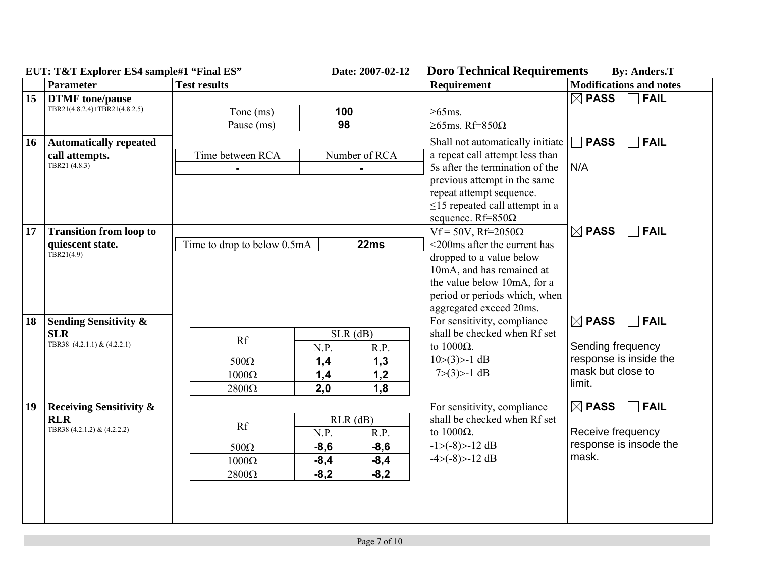|    | $E \cup I$ : I & I Explorer ES4 sample#1 Final ES                                                                                    |                                                   | Date: 2007-02-12                                                                       | DOLO TECHNICAI NEQUITEMENTS                                                                                                                                                                                                            | Dy: Aligers. 1                                                                                                |
|----|--------------------------------------------------------------------------------------------------------------------------------------|---------------------------------------------------|----------------------------------------------------------------------------------------|----------------------------------------------------------------------------------------------------------------------------------------------------------------------------------------------------------------------------------------|---------------------------------------------------------------------------------------------------------------|
|    | <b>Parameter</b>                                                                                                                     | <b>Test results</b>                               |                                                                                        | <b>Requirement</b>                                                                                                                                                                                                                     | <b>Modifications and notes</b>                                                                                |
| 15 | <b>DTMF</b> tone/pause<br>TBR21(4.8.2.4)+TBR21(4.8.2.5)                                                                              | Tone (ms)<br>Pause (ms)                           | 100<br>98                                                                              | $\geq$ 65ms.<br>$\geq$ 65ms. Rf=850 $\Omega$                                                                                                                                                                                           | $\boxtimes$ PASS<br><b>FAIL</b>                                                                               |
| 16 | <b>Automatically repeated</b><br>call attempts.<br>TBR21 (4.8.3)                                                                     | Time between RCA                                  | Number of RCA                                                                          | Shall not automatically initiate<br>a repeat call attempt less than<br>5s after the termination of the<br>previous attempt in the same<br>repeat attempt sequence.<br>$\leq$ 15 repeated call attempt in a<br>sequence. $Rf=850\Omega$ | <b>FAIL</b><br><b>PASS</b><br>N/A                                                                             |
| 17 | <b>Transition from loop to</b><br>quiescent state.<br>TBR21(4.9)                                                                     | Time to drop to below 0.5mA<br>22ms               |                                                                                        | $Vf = 50V$ , Rf=2050 $\Omega$<br><200ms after the current has<br>dropped to a value below<br>10mA, and has remained at<br>the value below 10mA, for a<br>period or periods which, when<br>aggregated exceed 20ms.                      | $\boxtimes$ PASS<br><b>FAIL</b>                                                                               |
| 18 | <b>Sending Sensitivity &amp;</b><br><b>SLR</b><br>TBR38 (4.2.1.1) & (4.2.2.1)                                                        | Rf<br>$500\Omega$<br>$1000\Omega$<br>$2800\Omega$ | $SLR$ (dB)<br>N.P.<br>R.P.<br>1,3<br>1,4<br>1,4<br>1,2<br>1,8<br>2,0                   | For sensitivity, compliance<br>shall be checked when Rf set<br>to $1000\Omega$ .<br>$10>(3)$ - 1 dB<br>$7>(3)$ - 1 dB                                                                                                                  | $\boxtimes$ PASS<br>$\Box$ FAIL<br>Sending frequency<br>response is inside the<br>mask but close to<br>limit. |
| 19 | <b>Receiving Sensitivity &amp;</b><br><b>RLR</b><br>Rf<br>TBR38 (4.2.1.2) & (4.2.2.2)<br>$500\Omega$<br>$1000\Omega$<br>$2800\Omega$ |                                                   | $RLR$ (dB)<br>N.P.<br>R.P.<br>$-8,6$<br>$-8,6$<br>$-8,4$<br>$-8,4$<br>$-8,2$<br>$-8,2$ | For sensitivity, compliance<br>shall be checked when Rf set<br>to $1000\Omega$ .<br>$-1 > (-8) > -12 dB$<br>$-4 > (-8) > -12 dB$                                                                                                       | $\boxtimes$ PASS<br>$\Box$ FAIL<br>Receive frequency<br>response is insode the<br>mask.                       |

**EUT: T&T Explorer ES4 sample#1 "Final ES" Date: 2007-02-12 Doro Technical Requirements By: Anders.T**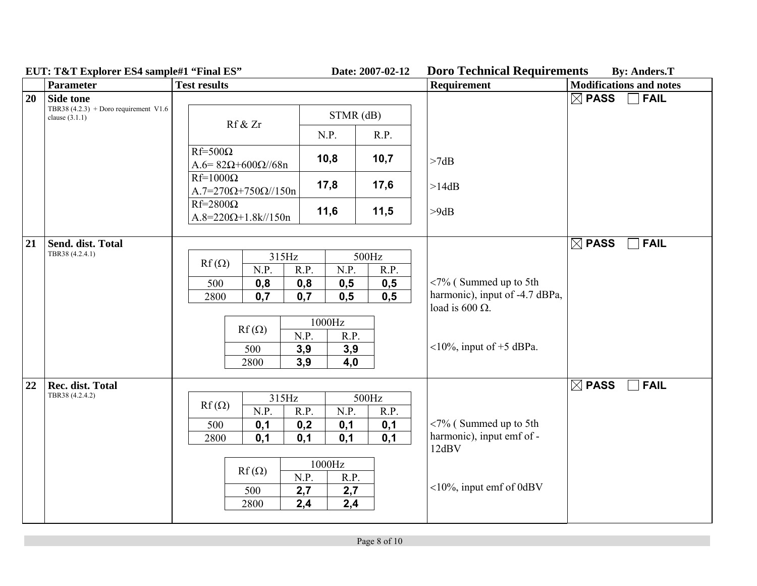|    | $EUI$ ; $IQI$ Explorer ES4 sample $I$ Final ES              | Date: 2007-02-12                                                                                                                                                                                                                                                                                                                                                | DUI O TECHNICAI INEQUITENTENTS<br>Dy. Alluers. 1                  |
|----|-------------------------------------------------------------|-----------------------------------------------------------------------------------------------------------------------------------------------------------------------------------------------------------------------------------------------------------------------------------------------------------------------------------------------------------------|-------------------------------------------------------------------|
|    | <b>Parameter</b>                                            | <b>Test results</b><br>Requirement                                                                                                                                                                                                                                                                                                                              | <b>Modifications and notes</b>                                    |
| 20 | <b>Side tone</b>                                            |                                                                                                                                                                                                                                                                                                                                                                 | $\boxtimes$ PASS<br><b>FAIL</b>                                   |
|    | TBR38 $(4.2.3)$ + Doro requirement V1.6<br>clause $(3.1.1)$ | $STMR$ (dB)<br>Rf & Zr                                                                                                                                                                                                                                                                                                                                          |                                                                   |
|    |                                                             | R.P.<br>N.P.                                                                                                                                                                                                                                                                                                                                                    |                                                                   |
|    |                                                             | $Rf=500\Omega$<br>10,7<br>10,8<br>>7dB<br>A.6= $82Ω+600Ω$ //68n                                                                                                                                                                                                                                                                                                 |                                                                   |
|    |                                                             | $Rf=1000\Omega$<br>17,8<br>17,6<br>>14dB<br>$A.7=270\Omega+750\Omega/150n$                                                                                                                                                                                                                                                                                      |                                                                   |
|    |                                                             | $Rf=2800\Omega$<br>11,6<br>11,5<br>>9dB<br>$A.8 = 220 \Omega + 1.8 \frac{k}{150n}$                                                                                                                                                                                                                                                                              |                                                                   |
|    |                                                             |                                                                                                                                                                                                                                                                                                                                                                 |                                                                   |
| 21 | Send. dist. Total<br>TBR38 (4.2.4.1)                        | 315Hz<br>500Hz<br>$Rf(\Omega)$<br>N.P.<br>N.P.<br>R.P.<br>R.P.<br><7% (Summed up to 5th<br>500<br>0,8<br>0,8<br>0,5<br>0,5<br>0,7<br>0,5<br>2800<br>0,7<br>0,5<br>load is 600 $\Omega$ .<br>1000Hz<br>$Rf(\Omega)$<br>N.P.<br>R.P.<br><10%, input of +5 dBPa.<br>500<br>3,9<br>3,9<br>4,0<br>3,9<br>2800                                                        | $\boxtimes$ PASS<br><b>FAIL</b><br>harmonic), input of -4.7 dBPa, |
| 22 | Rec. dist. Total<br>TBR38 (4.2.4.2)                         | 315Hz<br>500Hz<br>$Rf(\Omega)$<br>N.P.<br>R.P.<br>N.P.<br>R.P.<br>$\langle 7\%$ (Summed up to 5th<br>500<br>0,1<br>0,2<br>0,1<br>0,1<br>harmonic), input emf of -<br>0,1<br>0,1<br>0,1<br>2800<br>0,1<br>12dBV<br>$1000\mbox{Hz}$<br>$Rf(\Omega)$<br>N.P.<br>R.P.<br>$\langle 10\%, 100\% \rangle$ input emf of 0dBV<br>500<br>2,7<br>2,7<br>2,4<br>2800<br>2,4 | $\boxtimes$ PASS<br><b>FAIL</b>                                   |

**EUT: T&T Explorer ES4 sample#1 "Final ES" Date: 2007-02-12 Doro Technical Requirements By: Anders.T**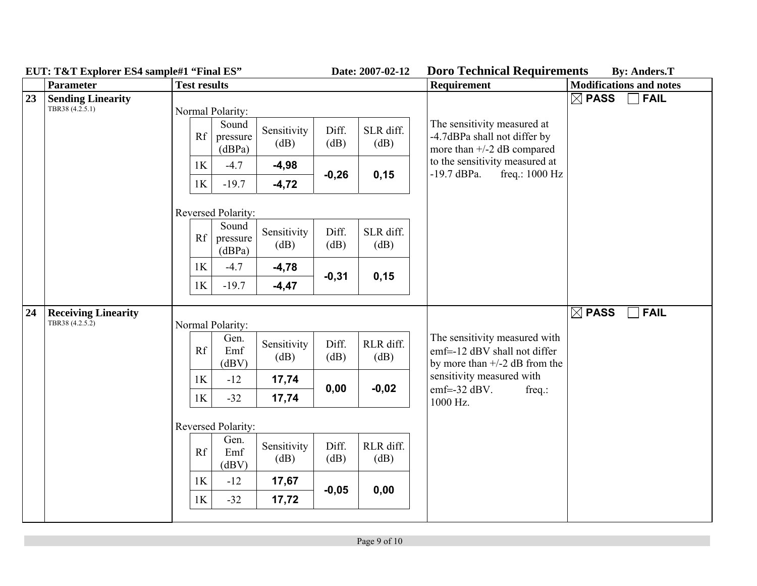|    | $E \cup I$ , $I \cup I$ $E \cup I$ $U$ $U$ $U$ $E \cup I$ $S$ $A$ $H$ $H$ $H$ $I$ $E \cup I$<br><b>Parameter</b> |                  | Daw. 2007-02-12<br><b>Test results</b> |                     |                                 |                   | рого тесникаг кедин спісніз<br><b>Requirement</b>                                                                                                                  | $\mathbf{D}$ y. Anuvrs. 1<br><b>Modifications and notes</b> |
|----|------------------------------------------------------------------------------------------------------------------|------------------|----------------------------------------|---------------------|---------------------------------|-------------------|--------------------------------------------------------------------------------------------------------------------------------------------------------------------|-------------------------------------------------------------|
| 23 | <b>Sending Linearity</b><br>TBR38 (4.2.5.1)                                                                      |                  | Normal Polarity:                       |                     |                                 |                   |                                                                                                                                                                    | $\boxtimes$ PASS<br>$\Box$ FAIL                             |
|    |                                                                                                                  | Rf               | Sound<br>pressure<br>(dBPa)            | Sensitivity<br>(dB) | Diff.<br>(dB)                   | SLR diff.<br>(dB) | The sensitivity measured at<br>-4.7dBPa shall not differ by<br>more than $+/-2$ dB compared<br>to the sensitivity measured at<br>$-19.7$ dBPa.<br>freq.: $1000$ Hz |                                                             |
|    |                                                                                                                  | 1K               | $-4.7$                                 | $-4,98$             | $-0,26$                         | 0,15              |                                                                                                                                                                    |                                                             |
|    |                                                                                                                  | 1K               | $-19.7$                                | $-4,72$             |                                 |                   |                                                                                                                                                                    |                                                             |
|    |                                                                                                                  |                  | Reversed Polarity:                     |                     |                                 |                   |                                                                                                                                                                    |                                                             |
|    |                                                                                                                  | Rf               | Sound<br>pressure<br>(dBPa)            | Sensitivity<br>(dB) | Diff.<br>(dB)                   | SLR diff.<br>(dB) |                                                                                                                                                                    |                                                             |
|    |                                                                                                                  | 1K               | $-4.7$                                 | $-4,78$             | $-0,31$                         | 0,15              |                                                                                                                                                                    |                                                             |
|    |                                                                                                                  | 1K               | $-19.7$                                | $-4,47$             |                                 |                   |                                                                                                                                                                    |                                                             |
| 24 | <b>Receiving Linearity</b><br>TBR38 (4.2.5.2)                                                                    | Normal Polarity: |                                        |                     |                                 |                   | <b>FAIL</b><br>$\boxtimes$ PASS                                                                                                                                    |                                                             |
|    |                                                                                                                  | Rf               | Gen.<br>Emf<br>(dBV)                   | Sensitivity<br>(dB) | Diff.<br>(dB)                   | RLR diff.<br>(dB) | The sensitivity measured with<br>emf=-12 dBV shall not differ<br>by more than $+/-2$ dB from the<br>sensitivity measured with                                      |                                                             |
|    |                                                                                                                  | 1K               | $-12$                                  | 17,74               | 0,00                            | $-0,02$           |                                                                                                                                                                    |                                                             |
|    |                                                                                                                  | 1K               | $-32$                                  | 17,74               |                                 |                   | $emf = -32$ dBV.<br>$freq$ .:<br>1000 Hz.                                                                                                                          |                                                             |
|    |                                                                                                                  |                  | Reversed Polarity:                     |                     |                                 |                   |                                                                                                                                                                    |                                                             |
|    |                                                                                                                  | Rf               | Gen.<br>Emf<br>(dBV)                   | Sensitivity<br>(dB) | Diff.<br>$\overline{\text{dB}}$ | RLR diff.<br>(dB) |                                                                                                                                                                    |                                                             |
|    |                                                                                                                  | 1K               | $-12$                                  | 17,67               | $-0,05$                         | 0,00              |                                                                                                                                                                    |                                                             |
|    |                                                                                                                  | 1K               | $-32$                                  | 17,72               |                                 |                   |                                                                                                                                                                    |                                                             |
|    |                                                                                                                  |                  |                                        |                     |                                 |                   |                                                                                                                                                                    |                                                             |

**EUT: T&T Explorer ES4 sample#1 "Final ES" Date: 2007-02-12 Doro Technical Requirements By: Anders.T**